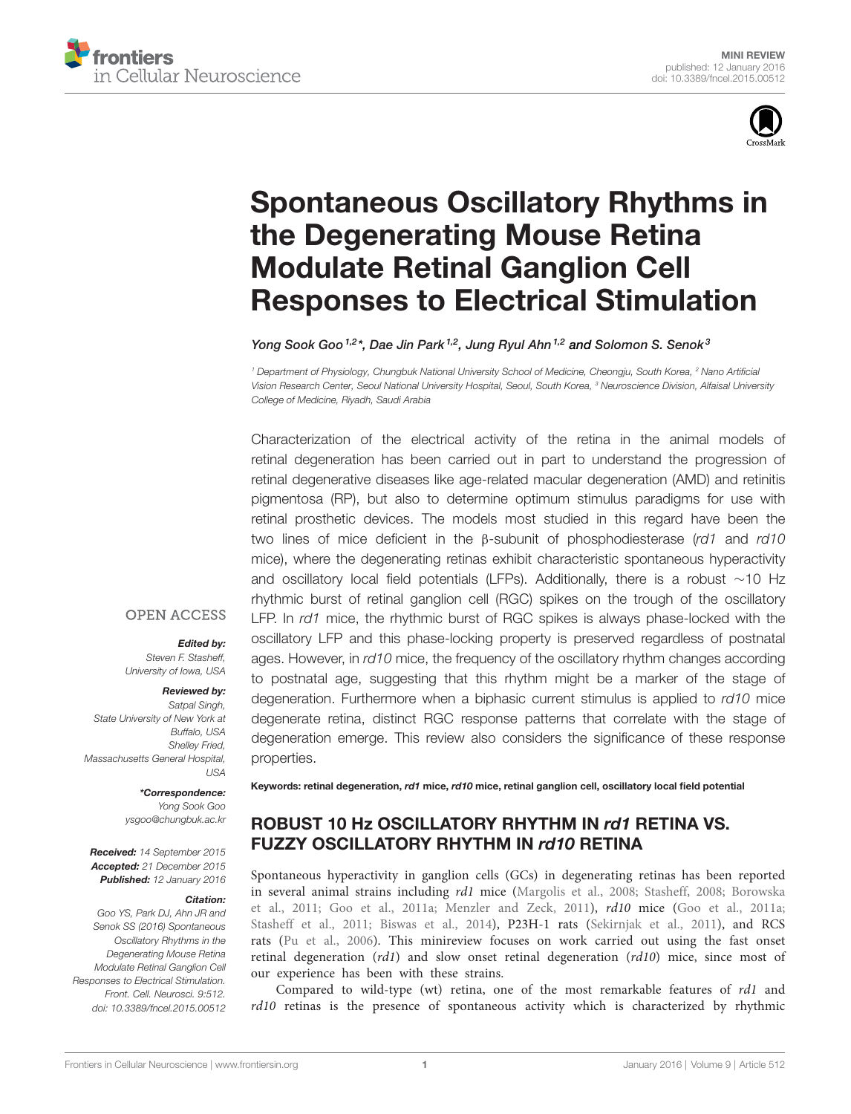



# Spontaneous Oscillatory Rhythms in the Degenerating Mouse Retina Modulate Retinal Ganglion Cell Responses to Electrical Stimulation

Yong Sook Goo<sup>1,2</sup>\*, Dae Jin Park<sup>1,2</sup>, Jung Ryul Ahn<sup>1,2</sup> and Solomon S. Senok<sup>3</sup>

*<sup>1</sup> Department of Physiology, Chungbuk National University School of Medicine, Cheongju, South Korea, <sup>2</sup> Nano Artificial Vision Research Center, Seoul National University Hospital, Seoul, South Korea, <sup>3</sup> Neuroscience Division, Alfaisal University College of Medicine, Riyadh, Saudi Arabia*

Characterization of the electrical activity of the retina in the animal models of retinal degeneration has been carried out in part to understand the progression of retinal degenerative diseases like age-related macular degeneration (AMD) and retinitis pigmentosa (RP), but also to determine optimum stimulus paradigms for use with retinal prosthetic devices. The models most studied in this regard have been the two lines of mice deficient in the β-subunit of phosphodiesterase (*rd1* and *rd10* mice), where the degenerating retinas exhibit characteristic spontaneous hyperactivity and oscillatory local field potentials (LFPs). Additionally, there is a robust ∼10 Hz rhythmic burst of retinal ganglion cell (RGC) spikes on the trough of the oscillatory LFP. In *rd1* mice, the rhythmic burst of RGC spikes is always phase-locked with the oscillatory LFP and this phase-locking property is preserved regardless of postnatal ages. However, in *rd10* mice, the frequency of the oscillatory rhythm changes according to postnatal age, suggesting that this rhythm might be a marker of the stage of degeneration. Furthermore when a biphasic current stimulus is applied to *rd10* mice degenerate retina, distinct RGC response patterns that correlate with the stage of degeneration emerge. This review also considers the significance of these response properties.

## **OPEN ACCESS**

Edited by:

*Steven F. Stasheff, University of Iowa, USA*

#### Reviewed by:

*Satpal Singh, State University of New York at Buffalo, USA Shelley Fried, Massachusetts General Hospital, USA*

### \*Correspondence: *Yong Sook Goo*

*ysgoo@chungbuk.ac.kr*

Received: *14 September 2015* Accepted: *21 December 2015* Published: *12 January 2016*

#### Citation:

*Goo YS, Park DJ, Ahn JR and Senok SS (2016) Spontaneous Oscillatory Rhythms in the Degenerating Mouse Retina Modulate Retinal Ganglion Cell Responses to Electrical Stimulation. Front. Cell. Neurosci. 9:512. doi: 10.3389/fncel.2015.00512*

Keywords: retinal degeneration, rd1 mice, rd10 mice, retinal ganglion cell, oscillatory local field potential

# ROBUST 10 Hz OSCILLATORY RHYTHM IN rd1 RETINA VS. FUZZY OSCILLATORY RHYTHM IN rd10 RETINA

Spontaneous hyperactivity in ganglion cells (GCs) in degenerating retinas has been reported in several animal strains including rd1 mice (Margolis et al., 2008; Stasheff, 2008; Borowska et al., 2011; Goo et al., 2011a; Menzler and Zeck, 2011), rd10 mice (Goo et al., 2011a; Stasheff et al., 2011; Biswas et al., 2014), P23H-1 rats (Sekirnjak et al., 2011), and RCS rats (Pu et al., 2006). This minireview focuses on work carried out using the fast onset retinal degeneration (rd1) and slow onset retinal degeneration (rd10) mice, since most of our experience has been with these strains.

Compared to wild-type (wt) retina, one of the most remarkable features of rd1 and rd10 retinas is the presence of spontaneous activity which is characterized by rhythmic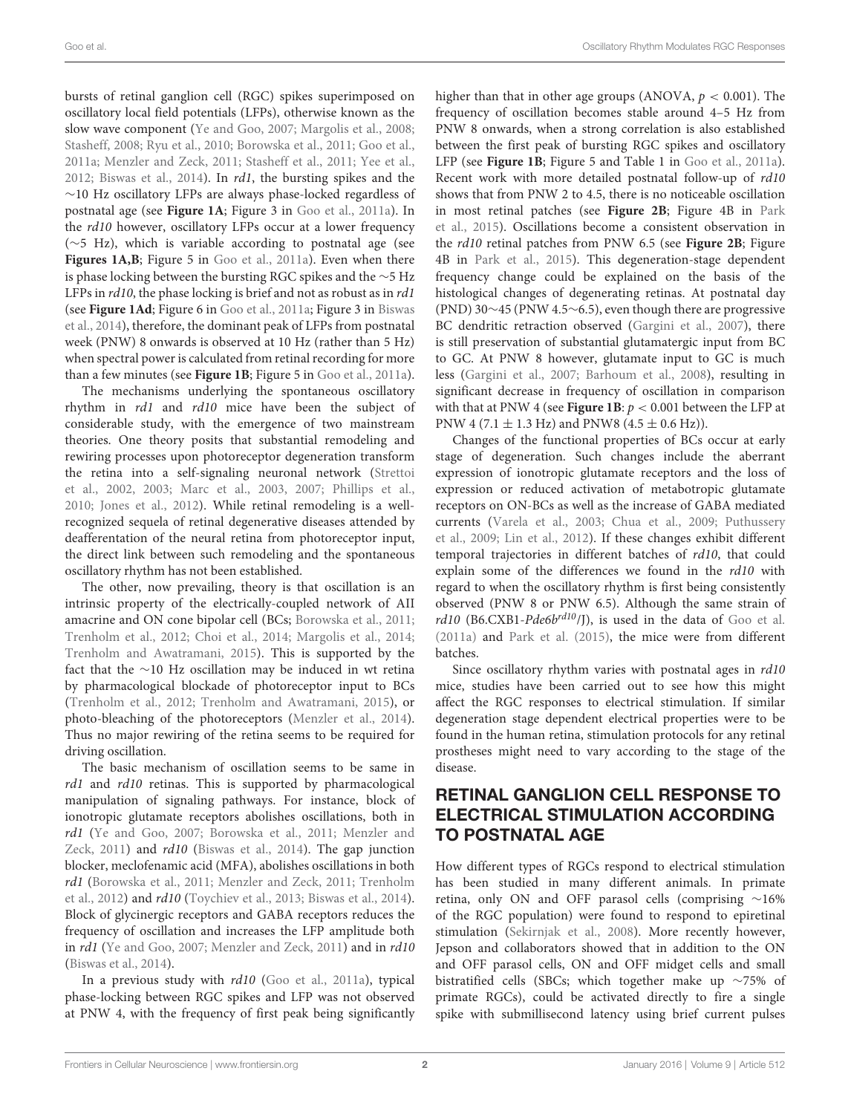bursts of retinal ganglion cell (RGC) spikes superimposed on oscillatory local field potentials (LFPs), otherwise known as the slow wave component (Ye and Goo, 2007; Margolis et al., 2008; Stasheff, 2008; Ryu et al., 2010; Borowska et al., 2011; Goo et al., 2011a; Menzler and Zeck, 2011; Stasheff et al., 2011; Yee et al., 2012; Biswas et al., 2014). In  $rd1$ , the bursting spikes and the ∼10 Hz oscillatory LFPs are always phase-locked regardless of postnatal age (see **Figure 1A**; Figure 3 in Goo et al., 2011a). In the *rd10* however, oscillatory LFPs occur at a lower frequency (∼5 Hz), which is variable according to postnatal age (see Figures 1A,B; Figure 5 in Goo et al., 2011a). Even when there is phase locking between the bursting RGC spikes and the ∼5 Hz LFPs in  $rd10$ , the phase locking is brief and not as robust as in  $rd1$ (see **Figure 1Ad**; Figure 6 in Goo et al., 2011a; Figure 3 in Biswas et al., 2014), therefore, the dominant peak of LFPs from postnatal week (PNW) 8 onwards is observed at 10 Hz (rather than 5 Hz) when spectral power is calculated from retinal recording for more than a few minutes (see **Figure 1B**; Figure 5 in Goo et al., 2011a).

The mechanisms underlying the spontaneous oscillatory rhythm in rd1 and rd10 mice have been the subject of considerable study, with the emergence of two mainstream theories. One theory posits that substantial remodeling and rewiring processes upon photoreceptor degeneration transform the retina into a self-signaling neuronal network (Strettoi et al., 2002, 2003; Marc et al., 2003, 2007; Phillips et al., 2010; Jones et al., 2012). While retinal remodeling is a wellrecognized sequela of retinal degenerative diseases attended by deafferentation of the neural retina from photoreceptor input, the direct link between such remodeling and the spontaneous oscillatory rhythm has not been established.

The other, now prevailing, theory is that oscillation is an intrinsic property of the electrically-coupled network of AII amacrine and ON cone bipolar cell (BCs; Borowska et al., 2011; Trenholm et al., 2012; Choi et al., 2014; Margolis et al., 2014; Trenholm and Awatramani, 2015). This is supported by the fact that the ∼10 Hz oscillation may be induced in wt retina by pharmacological blockade of photoreceptor input to BCs (Trenholm et al., 2012; Trenholm and Awatramani, 2015), or photo-bleaching of the photoreceptors (Menzler et al., 2014). Thus no major rewiring of the retina seems to be required for driving oscillation.

The basic mechanism of oscillation seems to be same in rd1 and rd10 retinas. This is supported by pharmacological manipulation of signaling pathways. For instance, block of ionotropic glutamate receptors abolishes oscillations, both in rd1 (Ye and Goo, 2007; Borowska et al., 2011; Menzler and Zeck, 2011) and rd10 (Biswas et al., 2014). The gap junction blocker, meclofenamic acid (MFA), abolishes oscillations in both rd1 (Borowska et al., 2011; Menzler and Zeck, 2011; Trenholm et al., 2012) and rd10 (Toychiev et al., 2013; Biswas et al., 2014). Block of glycinergic receptors and GABA receptors reduces the frequency of oscillation and increases the LFP amplitude both in *rd1* (Ye and Goo, 2007; Menzler and Zeck, 2011) and in *rd10* (Biswas et al., 2014).

In a previous study with *rd10* (Goo et al., 2011a), typical phase-locking between RGC spikes and LFP was not observed at PNW 4, with the frequency of first peak being significantly higher than that in other age groups (ANOVA,  $p < 0.001$ ). The frequency of oscillation becomes stable around 4–5 Hz from PNW 8 onwards, when a strong correlation is also established between the first peak of bursting RGC spikes and oscillatory LFP (see **Figure 1B**; Figure 5 and Table 1 in Goo et al., 2011a). Recent work with more detailed postnatal follow-up of rd10 shows that from PNW 2 to 4.5, there is no noticeable oscillation in most retinal patches (see **Figure 2B**; Figure 4B in Park et al., 2015). Oscillations become a consistent observation in the rd10 retinal patches from PNW 6.5 (see **Figure 2B**; Figure 4B in Park et al., 2015). This degeneration-stage dependent frequency change could be explained on the basis of the histological changes of degenerating retinas. At postnatal day (PND) 30∼45 (PNW 4.5∼6.5), even though there are progressive BC dendritic retraction observed (Gargini et al., 2007), there is still preservation of substantial glutamatergic input from BC to GC. At PNW 8 however, glutamate input to GC is much less (Gargini et al., 2007; Barhoum et al., 2008), resulting in significant decrease in frequency of oscillation in comparison with that at PNW 4 (see **Figure 1B**:  $p < 0.001$  between the LFP at PNW 4 (7.1  $\pm$  1.3 Hz) and PNW8 (4.5  $\pm$  0.6 Hz)).

Changes of the functional properties of BCs occur at early stage of degeneration. Such changes include the aberrant expression of ionotropic glutamate receptors and the loss of expression or reduced activation of metabotropic glutamate receptors on ON-BCs as well as the increase of GABA mediated currents (Varela et al., 2003; Chua et al., 2009; Puthussery et al., 2009; Lin et al., 2012). If these changes exhibit different temporal trajectories in different batches of rd10, that could explain some of the differences we found in the rd10 with regard to when the oscillatory rhythm is first being consistently observed (PNW 8 or PNW 6.5). Although the same strain of  $rd10$  (B6.CXB1-Pde6b<sup>rd10</sup>/J), is used in the data of Goo et al. (2011a) and Park et al. (2015), the mice were from different batches.

Since oscillatory rhythm varies with postnatal ages in  $rd10$ mice, studies have been carried out to see how this might affect the RGC responses to electrical stimulation. If similar degeneration stage dependent electrical properties were to be found in the human retina, stimulation protocols for any retinal prostheses might need to vary according to the stage of the disease.

# RETINAL GANGLION CELL RESPONSE TO ELECTRICAL STIMULATION ACCORDING TO POSTNATAL AGE

How different types of RGCs respond to electrical stimulation has been studied in many different animals. In primate retina, only ON and OFF parasol cells (comprising ∼16% of the RGC population) were found to respond to epiretinal stimulation (Sekirnjak et al., 2008). More recently however, Jepson and collaborators showed that in addition to the ON and OFF parasol cells, ON and OFF midget cells and small bistratified cells (SBCs; which together make up ∼75% of primate RGCs), could be activated directly to fire a single spike with submillisecond latency using brief current pulses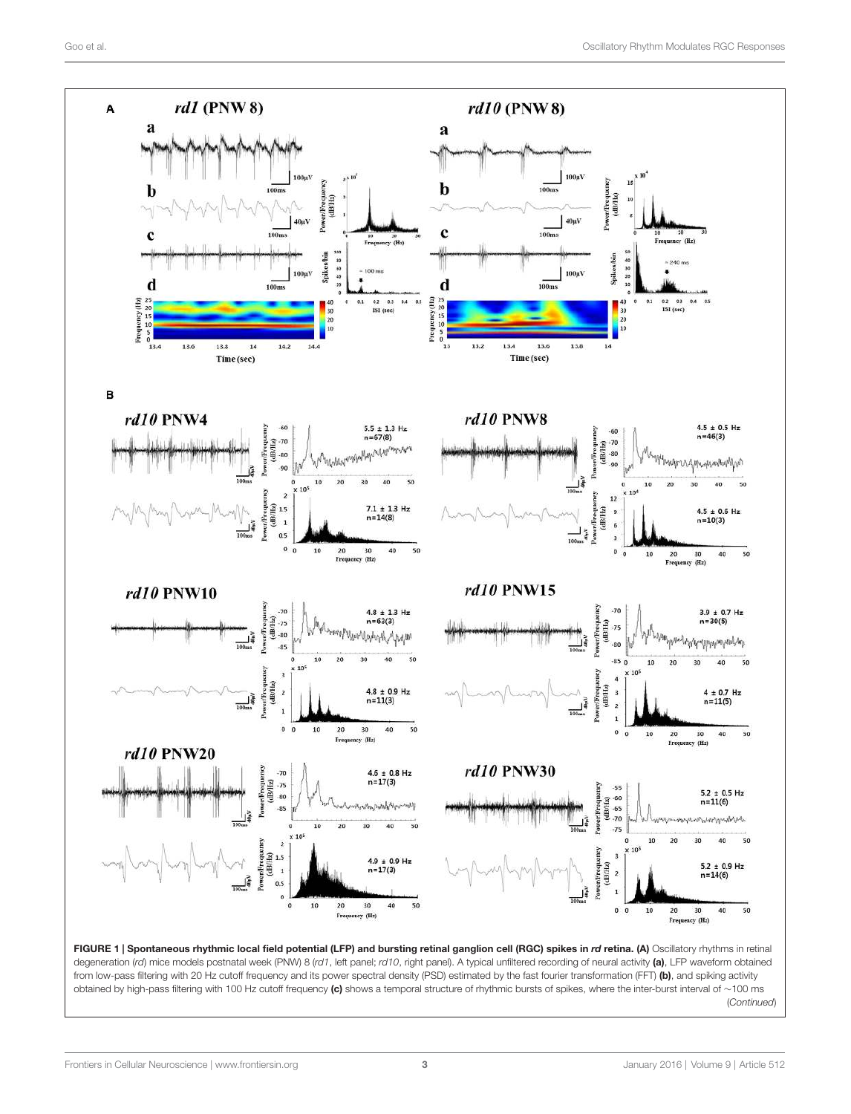

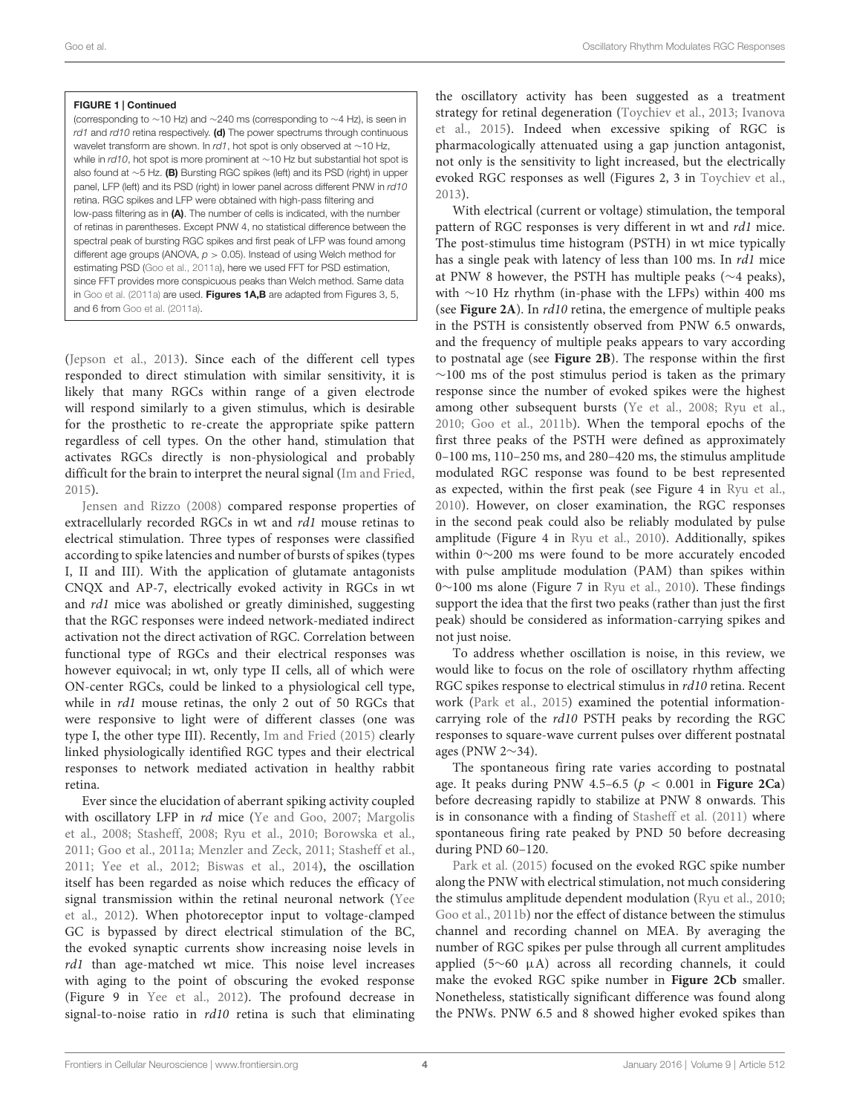#### FIGURE 1 | Continued

(corresponding to ∼10 Hz) and ∼240 ms (corresponding to ∼4 Hz), is seen in *rd1* and *rd10* retina respectively. (d) The power spectrums through continuous wavelet transform are shown. In *rd1*, hot spot is only observed at ∼10 Hz, while in *rd10*, hot spot is more prominent at ∼10 Hz but substantial hot spot is also found at ∼5 Hz. (B) Bursting RGC spikes (left) and its PSD (right) in upper panel, LFP (left) and its PSD (right) in lower panel across different PNW in *rd10* retina. RGC spikes and LFP were obtained with high-pass filtering and low-pass filtering as in (A). The number of cells is indicated, with the number of retinas in parentheses. Except PNW 4, no statistical difference between the spectral peak of bursting RGC spikes and first peak of LFP was found among different age groups (ANOVA, *p* > 0.05). Instead of using Welch method for estimating PSD (Goo et al., 2011a), here we used FFT for PSD estimation, since FFT provides more conspicuous peaks than Welch method. Same data in Goo et al. (2011a) are used. Figures 1A,B are adapted from Figures 3, 5, and 6 from Goo et al. (2011a).

(Jepson et al., 2013). Since each of the different cell types responded to direct stimulation with similar sensitivity, it is likely that many RGCs within range of a given electrode will respond similarly to a given stimulus, which is desirable for the prosthetic to re-create the appropriate spike pattern regardless of cell types. On the other hand, stimulation that activates RGCs directly is non-physiological and probably difficult for the brain to interpret the neural signal (Im and Fried, 2015).

Jensen and Rizzo (2008) compared response properties of extracellularly recorded RGCs in wt and rd1 mouse retinas to electrical stimulation. Three types of responses were classified according to spike latencies and number of bursts of spikes (types I, II and III). With the application of glutamate antagonists CNQX and AP-7, electrically evoked activity in RGCs in wt and rd1 mice was abolished or greatly diminished, suggesting that the RGC responses were indeed network-mediated indirect activation not the direct activation of RGC. Correlation between functional type of RGCs and their electrical responses was however equivocal; in wt, only type II cells, all of which were ON-center RGCs, could be linked to a physiological cell type, while in *rd1* mouse retinas, the only 2 out of 50 RGCs that were responsive to light were of different classes (one was type I, the other type III). Recently, Im and Fried (2015) clearly linked physiologically identified RGC types and their electrical responses to network mediated activation in healthy rabbit retina.

Ever since the elucidation of aberrant spiking activity coupled with oscillatory LFP in *rd* mice (Ye and Goo, 2007; Margolis et al., 2008; Stasheff, 2008; Ryu et al., 2010; Borowska et al., 2011; Goo et al., 2011a; Menzler and Zeck, 2011; Stasheff et al., 2011; Yee et al., 2012; Biswas et al., 2014), the oscillation itself has been regarded as noise which reduces the efficacy of signal transmission within the retinal neuronal network (Yee et al., 2012). When photoreceptor input to voltage-clamped GC is bypassed by direct electrical stimulation of the BC, the evoked synaptic currents show increasing noise levels in rd1 than age-matched wt mice. This noise level increases with aging to the point of obscuring the evoked response (Figure 9 in Yee et al., 2012). The profound decrease in signal-to-noise ratio in  $rd10$  retina is such that eliminating the oscillatory activity has been suggested as a treatment strategy for retinal degeneration (Toychiev et al., 2013; Ivanova et al., 2015). Indeed when excessive spiking of RGC is pharmacologically attenuated using a gap junction antagonist, not only is the sensitivity to light increased, but the electrically evoked RGC responses as well (Figures 2, 3 in Toychiev et al., 2013).

With electrical (current or voltage) stimulation, the temporal pattern of RGC responses is very different in wt and rd1 mice. The post-stimulus time histogram (PSTH) in wt mice typically has a single peak with latency of less than 100 ms. In *rd1* mice at PNW 8 however, the PSTH has multiple peaks (∼4 peaks), with ∼10 Hz rhythm (in-phase with the LFPs) within 400 ms (see **Figure 2A**). In rd10 retina, the emergence of multiple peaks in the PSTH is consistently observed from PNW 6.5 onwards, and the frequency of multiple peaks appears to vary according to postnatal age (see **Figure 2B**). The response within the first  $~\sim$ 100 ms of the post stimulus period is taken as the primary response since the number of evoked spikes were the highest among other subsequent bursts (Ye et al., 2008; Ryu et al., 2010; Goo et al., 2011b). When the temporal epochs of the first three peaks of the PSTH were defined as approximately 0–100 ms, 110–250 ms, and 280–420 ms, the stimulus amplitude modulated RGC response was found to be best represented as expected, within the first peak (see Figure 4 in Ryu et al., 2010). However, on closer examination, the RGC responses in the second peak could also be reliably modulated by pulse amplitude (Figure 4 in Ryu et al., 2010). Additionally, spikes within 0∼200 ms were found to be more accurately encoded with pulse amplitude modulation (PAM) than spikes within 0∼100 ms alone (Figure 7 in Ryu et al., 2010). These findings support the idea that the first two peaks (rather than just the first peak) should be considered as information-carrying spikes and not just noise.

To address whether oscillation is noise, in this review, we would like to focus on the role of oscillatory rhythm affecting RGC spikes response to electrical stimulus in rd10 retina. Recent work (Park et al., 2015) examined the potential informationcarrying role of the rd10 PSTH peaks by recording the RGC responses to square-wave current pulses over different postnatal ages (PNW 2∼34).

The spontaneous firing rate varies according to postnatal age. It peaks during PNW 4.5-6.5 ( $p < 0.001$  in **Figure 2Ca**) before decreasing rapidly to stabilize at PNW 8 onwards. This is in consonance with a finding of Stasheff et al. (2011) where spontaneous firing rate peaked by PND 50 before decreasing during PND 60–120.

Park et al. (2015) focused on the evoked RGC spike number along the PNW with electrical stimulation, not much considering the stimulus amplitude dependent modulation (Ryu et al., 2010; Goo et al., 2011b) nor the effect of distance between the stimulus channel and recording channel on MEA. By averaging the number of RGC spikes per pulse through all current amplitudes applied (5∼60 µA) across all recording channels, it could make the evoked RGC spike number in **Figure 2Cb** smaller. Nonetheless, statistically significant difference was found along the PNWs. PNW 6.5 and 8 showed higher evoked spikes than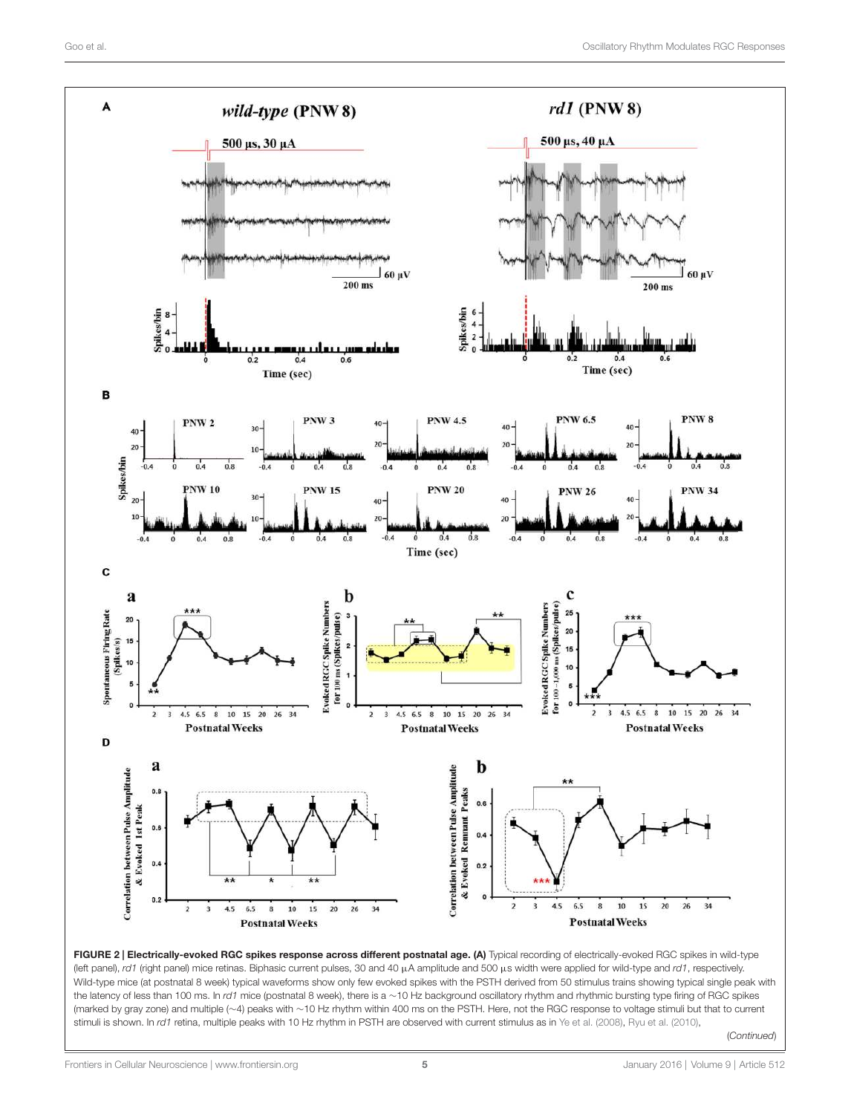



Frontiers in Cellular Neuroscience | www.frontiersin.org 5 5 January 2016 | Volume 9 | Article 512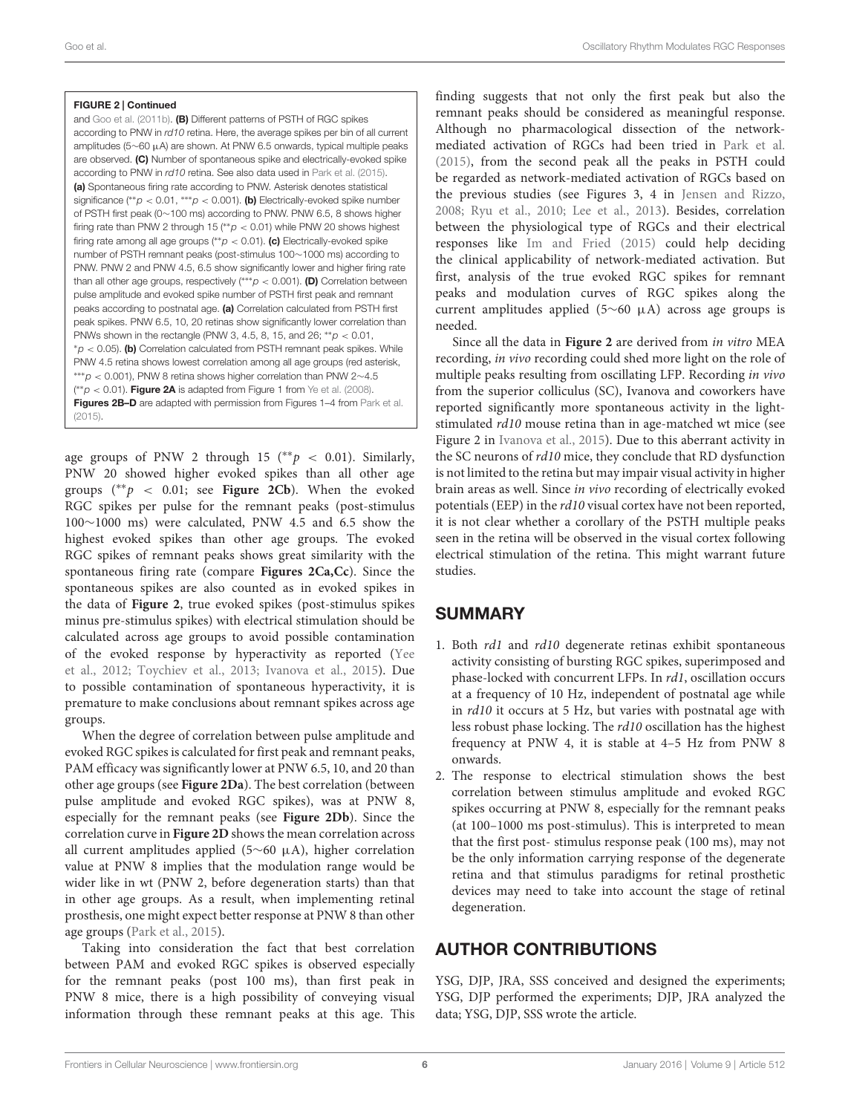#### FIGURE 2 | Continued

and Goo et al. (2011b). (B) Different patterns of PSTH of RGC spikes according to PNW in *rd10* retina. Here, the average spikes per bin of all current amplitudes (5∼60 µA) are shown. At PNW 6.5 onwards, typical multiple peaks are observed. (C) Number of spontaneous spike and electrically-evoked spike according to PNW in *rd10* retina. See also data used in Park et al. (2015). (a) Spontaneous firing rate according to PNW. Asterisk denotes statistical significance (\*\*p < 0.01, \*\*\*p < 0.001). (b) Electrically-evoked spike number of PSTH first peak (0∼100 ms) according to PNW. PNW 6.5, 8 shows higher firing rate than PNW 2 through 15 (∗∗*p* < 0.01) while PNW 20 shows highest firing rate among all age groups (∗∗*p* < 0.01). (c) Electrically-evoked spike number of PSTH remnant peaks (post-stimulus 100∼1000 ms) according to PNW. PNW 2 and PNW 4.5, 6.5 show significantly lower and higher firing rate than all other age groups, respectively (∗∗∗*p* < 0.001). (D) Correlation between pulse amplitude and evoked spike number of PSTH first peak and remnant peaks according to postnatal age. (a) Correlation calculated from PSTH first peak spikes. PNW 6.5, 10, 20 retinas show significantly lower correlation than PNWs shown in the rectangle (PNW 3, 4.5, 8, 15, and 26; ∗∗*p* < 0.01, <sup>∗</sup>*p* < 0.05). (b) Correlation calculated from PSTH remnant peak spikes. While PNW 4.5 retina shows lowest correlation among all age groups (red asterisk, ∗∗∗*p* < 0.001), PNW 8 retina shows higher correlation than PNW 2∼4.5 ( ∗∗*p* < 0.01). Figure 2A is adapted from Figure 1 from Ye et al. (2008). Figures 2B-D are adapted with permission from Figures 1-4 from Park et al.  $(2015)$ 

age groups of PNW 2 through 15 (\*\*  $p < 0.01$ ). Similarly, PNW 20 showed higher evoked spikes than all other age groups  $(*p < 0.01;$  see **Figure 2Cb**). When the evoked RGC spikes per pulse for the remnant peaks (post-stimulus 100∼1000 ms) were calculated, PNW 4.5 and 6.5 show the highest evoked spikes than other age groups. The evoked RGC spikes of remnant peaks shows great similarity with the spontaneous firing rate (compare **Figures 2Ca,Cc**). Since the spontaneous spikes are also counted as in evoked spikes in the data of **Figure 2**, true evoked spikes (post-stimulus spikes minus pre-stimulus spikes) with electrical stimulation should be calculated across age groups to avoid possible contamination of the evoked response by hyperactivity as reported (Yee et al., 2012; Toychiev et al., 2013; Ivanova et al., 2015). Due to possible contamination of spontaneous hyperactivity, it is premature to make conclusions about remnant spikes across age groups.

When the degree of correlation between pulse amplitude and evoked RGC spikes is calculated for first peak and remnant peaks, PAM efficacy was significantly lower at PNW 6.5, 10, and 20 than other age groups (see **Figure 2Da**). The best correlation (between pulse amplitude and evoked RGC spikes), was at PNW 8, especially for the remnant peaks (see **Figure 2Db**). Since the correlation curve in **Figure 2D** shows the mean correlation across all current amplitudes applied (5∼60 µA), higher correlation value at PNW 8 implies that the modulation range would be wider like in wt (PNW 2, before degeneration starts) than that in other age groups. As a result, when implementing retinal prosthesis, one might expect better response at PNW 8 than other age groups (Park et al., 2015).

Taking into consideration the fact that best correlation between PAM and evoked RGC spikes is observed especially for the remnant peaks (post 100 ms), than first peak in PNW 8 mice, there is a high possibility of conveying visual information through these remnant peaks at this age. This

finding suggests that not only the first peak but also the remnant peaks should be considered as meaningful response. Although no pharmacological dissection of the networkmediated activation of RGCs had been tried in Park et al. (2015), from the second peak all the peaks in PSTH could be regarded as network-mediated activation of RGCs based on the previous studies (see Figures 3, 4 in Jensen and Rizzo, 2008; Ryu et al., 2010; Lee et al., 2013). Besides, correlation between the physiological type of RGCs and their electrical responses like Im and Fried (2015) could help deciding the clinical applicability of network-mediated activation. But first, analysis of the true evoked RGC spikes for remnant peaks and modulation curves of RGC spikes along the current amplitudes applied (5∼60 µA) across age groups is needed.

Since all the data in **Figure 2** are derived from in vitro MEA recording, in vivo recording could shed more light on the role of multiple peaks resulting from oscillating LFP. Recording in vivo from the superior colliculus (SC), Ivanova and coworkers have reported significantly more spontaneous activity in the lightstimulated rd10 mouse retina than in age-matched wt mice (see Figure 2 in Ivanova et al., 2015). Due to this aberrant activity in the SC neurons of  $rd10$  mice, they conclude that RD dysfunction is not limited to the retina but may impair visual activity in higher brain areas as well. Since in vivo recording of electrically evoked potentials (EEP) in the rd10 visual cortex have not been reported, it is not clear whether a corollary of the PSTH multiple peaks seen in the retina will be observed in the visual cortex following electrical stimulation of the retina. This might warrant future studies.

## **SUMMARY**

- 1. Both rd1 and rd10 degenerate retinas exhibit spontaneous activity consisting of bursting RGC spikes, superimposed and phase-locked with concurrent LFPs. In rd1, oscillation occurs at a frequency of 10 Hz, independent of postnatal age while in rd10 it occurs at 5 Hz, but varies with postnatal age with less robust phase locking. The rd10 oscillation has the highest frequency at PNW 4, it is stable at 4–5 Hz from PNW 8 onwards.
- 2. The response to electrical stimulation shows the best correlation between stimulus amplitude and evoked RGC spikes occurring at PNW 8, especially for the remnant peaks (at 100–1000 ms post-stimulus). This is interpreted to mean that the first post- stimulus response peak (100 ms), may not be the only information carrying response of the degenerate retina and that stimulus paradigms for retinal prosthetic devices may need to take into account the stage of retinal degeneration.

## AUTHOR CONTRIBUTIONS

YSG, DJP, JRA, SSS conceived and designed the experiments; YSG, DJP performed the experiments; DJP, JRA analyzed the data; YSG, DJP, SSS wrote the article.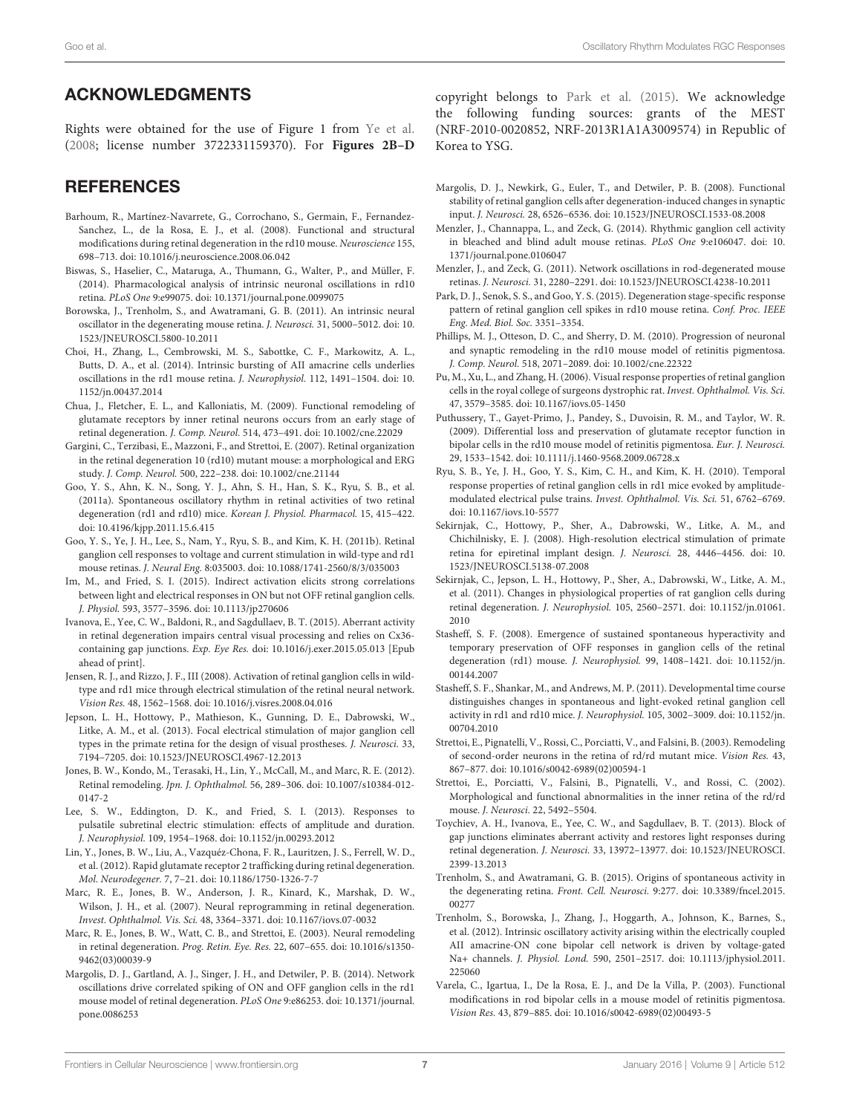## ACKNOWLEDGMENTS

Rights were obtained for the use of Figure 1 from Ye et al. (2008; license number 3722331159370). For **Figures 2B–D**

## **REFERENCES**

- Barhoum, R., Martínez-Navarrete, G., Corrochano, S., Germain, F., Fernandez-Sanchez, L., de la Rosa, E. J., et al. (2008). Functional and structural modifications during retinal degeneration in the rd10 mouse. Neuroscience 155, 698–713. doi: 10.1016/j.neuroscience.2008.06.042
- Biswas, S., Haselier, C., Mataruga, A., Thumann, G., Walter, P., and Müller, F. (2014). Pharmacological analysis of intrinsic neuronal oscillations in rd10 retina. PLoS One 9:e99075. doi: 10.1371/journal.pone.0099075
- Borowska, J., Trenholm, S., and Awatramani, G. B. (2011). An intrinsic neural oscillator in the degenerating mouse retina. J. Neurosci. 31, 5000–5012. doi: 10. 1523/JNEUROSCI.5800-10.2011
- Choi, H., Zhang, L., Cembrowski, M. S., Sabottke, C. F., Markowitz, A. L., Butts, D. A., et al. (2014). Intrinsic bursting of AII amacrine cells underlies oscillations in the rd1 mouse retina. J. Neurophysiol. 112, 1491–1504. doi: 10. 1152/jn.00437.2014
- Chua, J., Fletcher, E. L., and Kalloniatis, M. (2009). Functional remodeling of glutamate receptors by inner retinal neurons occurs from an early stage of retinal degeneration. J. Comp. Neurol. 514, 473–491. doi: 10.1002/cne.22029
- Gargini, C., Terzibasi, E., Mazzoni, F., and Strettoi, E. (2007). Retinal organization in the retinal degeneration 10 (rd10) mutant mouse: a morphological and ERG study. J. Comp. Neurol. 500, 222–238. doi: 10.1002/cne.21144
- Goo, Y. S., Ahn, K. N., Song, Y. J., Ahn, S. H., Han, S. K., Ryu, S. B., et al. (2011a). Spontaneous oscillatory rhythm in retinal activities of two retinal degeneration (rd1 and rd10) mice. Korean J. Physiol. Pharmacol. 15, 415–422. doi: 10.4196/kjpp.2011.15.6.415
- Goo, Y. S., Ye, J. H., Lee, S., Nam, Y., Ryu, S. B., and Kim, K. H. (2011b). Retinal ganglion cell responses to voltage and current stimulation in wild-type and rd1 mouse retinas. J. Neural Eng. 8:035003. doi: 10.1088/1741-2560/8/3/035003
- Im, M., and Fried, S. I. (2015). Indirect activation elicits strong correlations between light and electrical responses in ON but not OFF retinal ganglion cells. J. Physiol. 593, 3577–3596. doi: 10.1113/jp270606
- Ivanova, E., Yee, C. W., Baldoni, R., and Sagdullaev, B. T. (2015). Aberrant activity in retinal degeneration impairs central visual processing and relies on Cx36 containing gap junctions. Exp. Eye Res. doi: 10.1016/j.exer.2015.05.013 [Epub ahead of print].
- Jensen, R. J., and Rizzo, J. F., III (2008). Activation of retinal ganglion cells in wildtype and rd1 mice through electrical stimulation of the retinal neural network. Vision Res. 48, 1562–1568. doi: 10.1016/j.visres.2008.04.016
- Jepson, L. H., Hottowy, P., Mathieson, K., Gunning, D. E., Dabrowski, W., Litke, A. M., et al. (2013). Focal electrical stimulation of major ganglion cell types in the primate retina for the design of visual prostheses. J. Neurosci. 33, 7194–7205. doi: 10.1523/JNEUROSCI.4967-12.2013
- Jones, B. W., Kondo, M., Terasaki, H., Lin, Y., McCall, M., and Marc, R. E. (2012). Retinal remodeling. Jpn. J. Ophthalmol. 56, 289–306. doi: 10.1007/s10384-012- 0147-2
- Lee, S. W., Eddington, D. K., and Fried, S. I. (2013). Responses to pulsatile subretinal electric stimulation: effects of amplitude and duration. J. Neurophysiol. 109, 1954–1968. doi: 10.1152/jn.00293.2012
- Lin, Y., Jones, B. W., Liu, A., Vazquéz-Chona, F. R., Lauritzen, J. S., Ferrell, W. D., et al. (2012). Rapid glutamate receptor 2 trafficking during retinal degeneration. Mol. Neurodegener. 7, 7–21. doi: 10.1186/1750-1326-7-7
- Marc, R. E., Jones, B. W., Anderson, J. R., Kinard, K., Marshak, D. W., Wilson, J. H., et al. (2007). Neural reprogramming in retinal degeneration. Invest. Ophthalmol. Vis. Sci. 48, 3364–3371. doi: 10.1167/iovs.07-0032
- Marc, R. E., Jones, B. W., Watt, C. B., and Strettoi, E. (2003). Neural remodeling in retinal degeneration. Prog. Retin. Eye. Res. 22, 607–655. doi: 10.1016/s1350- 9462(03)00039-9
- Margolis, D. J., Gartland, A. J., Singer, J. H., and Detwiler, P. B. (2014). Network oscillations drive correlated spiking of ON and OFF ganglion cells in the rd1 mouse model of retinal degeneration. PLoS One 9:e86253. doi: 10.1371/journal. pone.0086253

copyright belongs to Park et al. (2015). We acknowledge the following funding sources: grants of the MEST (NRF-2010-0020852, NRF-2013R1A1A3009574) in Republic of Korea to YSG.

- Margolis, D. J., Newkirk, G., Euler, T., and Detwiler, P. B. (2008). Functional stability of retinal ganglion cells after degeneration-induced changes in synaptic input. J. Neurosci. 28, 6526–6536. doi: 10.1523/JNEUROSCI.1533-08.2008
- Menzler, J., Channappa, L., and Zeck, G. (2014). Rhythmic ganglion cell activity in bleached and blind adult mouse retinas. PLoS One 9:e106047. doi: 10. 1371/journal.pone.0106047
- Menzler, J., and Zeck, G. (2011). Network oscillations in rod-degenerated mouse retinas. J. Neurosci. 31, 2280–2291. doi: 10.1523/JNEUROSCI.4238-10.2011
- Park, D. J., Senok, S. S., and Goo, Y. S. (2015). Degeneration stage-specific response pattern of retinal ganglion cell spikes in rd10 mouse retina. Conf. Proc. IEEE Eng. Med. Biol. Soc. 3351–3354.
- Phillips, M. J., Otteson, D. C., and Sherry, D. M. (2010). Progression of neuronal and synaptic remodeling in the rd10 mouse model of retinitis pigmentosa. J. Comp. Neurol. 518, 2071–2089. doi: 10.1002/cne.22322
- Pu, M., Xu, L., and Zhang, H. (2006). Visual response properties of retinal ganglion cells in the royal college of surgeons dystrophic rat. Invest. Ophthalmol. Vis. Sci. 47, 3579–3585. doi: 10.1167/iovs.05-1450
- Puthussery, T., Gayet-Primo, J., Pandey, S., Duvoisin, R. M., and Taylor, W. R. (2009). Differential loss and preservation of glutamate receptor function in bipolar cells in the rd10 mouse model of retinitis pigmentosa. Eur. J. Neurosci. 29, 1533–1542. doi: 10.1111/j.1460-9568.2009.06728.x
- Ryu, S. B., Ye, J. H., Goo, Y. S., Kim, C. H., and Kim, K. H. (2010). Temporal response properties of retinal ganglion cells in rd1 mice evoked by amplitudemodulated electrical pulse trains. Invest. Ophthalmol. Vis. Sci. 51, 6762–6769. doi: 10.1167/iovs.10-5577
- Sekirnjak, C., Hottowy, P., Sher, A., Dabrowski, W., Litke, A. M., and Chichilnisky, E. J. (2008). High-resolution electrical stimulation of primate retina for epiretinal implant design. J. Neurosci. 28, 4446–4456. doi: 10. 1523/JNEUROSCI.5138-07.2008
- Sekirnjak, C., Jepson, L. H., Hottowy, P., Sher, A., Dabrowski, W., Litke, A. M., et al. (2011). Changes in physiological properties of rat ganglion cells during retinal degeneration. J. Neurophysiol. 105, 2560–2571. doi: 10.1152/jn.01061. 2010
- Stasheff, S. F. (2008). Emergence of sustained spontaneous hyperactivity and temporary preservation of OFF responses in ganglion cells of the retinal degeneration (rd1) mouse. J. Neurophysiol. 99, 1408–1421. doi: 10.1152/jn. 00144.2007
- Stasheff, S. F., Shankar, M., and Andrews, M. P. (2011). Developmental time course distinguishes changes in spontaneous and light-evoked retinal ganglion cell activity in rd1 and rd10 mice. J. Neurophysiol. 105, 3002–3009. doi: 10.1152/jn. 00704.2010
- Strettoi, E., Pignatelli, V., Rossi, C., Porciatti, V., and Falsini, B. (2003). Remodeling of second-order neurons in the retina of rd/rd mutant mice. Vision Res. 43, 867–877. doi: 10.1016/s0042-6989(02)00594-1
- Strettoi, E., Porciatti, V., Falsini, B., Pignatelli, V., and Rossi, C. (2002). Morphological and functional abnormalities in the inner retina of the rd/rd mouse. J. Neurosci. 22, 5492–5504.
- Toychiev, A. H., Ivanova, E., Yee, C. W., and Sagdullaev, B. T. (2013). Block of gap junctions eliminates aberrant activity and restores light responses during retinal degeneration. J. Neurosci. 33, 13972–13977. doi: 10.1523/JNEUROSCI. 2399-13.2013
- Trenholm, S., and Awatramani, G. B. (2015). Origins of spontaneous activity in the degenerating retina. Front. Cell. Neurosci. 9:277. doi: 10.3389/fncel.2015. 00277
- Trenholm, S., Borowska, J., Zhang, J., Hoggarth, A., Johnson, K., Barnes, S., et al. (2012). Intrinsic oscillatory activity arising within the electrically coupled AII amacrine-ON cone bipolar cell network is driven by voltage-gated Na+ channels. J. Physiol. Lond. 590, 2501–2517. doi: 10.1113/jphysiol.2011. 225060
- Varela, C., Igartua, I., De la Rosa, E. J., and De la Villa, P. (2003). Functional modifications in rod bipolar cells in a mouse model of retinitis pigmentosa. Vision Res. 43, 879–885. doi: 10.1016/s0042-6989(02)00493-5